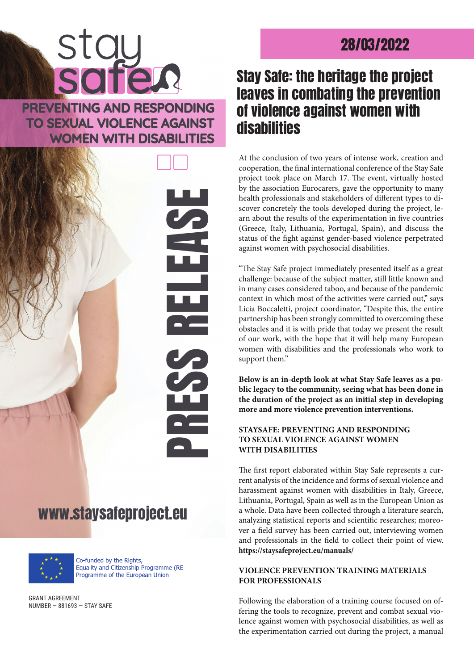# 28/03/2022

# Stay Safe: the heritage the project leaves in combating the prevention of violence against women with disabilities

At the conclusion of two years of intense work, creation and cooperation, the final international conference of the Stay Safe project took place on March 17. The event, virtually hosted by the association Eurocarers, gave the opportunity to many health professionals and stakeholders of different types to discover concretely the tools developed during the project, learn about the results of the experimentation in five countries (Greece, Italy, Lithuania, Portugal, Spain), and discuss the status of the fight against gender-based violence perpetrated against women with psychosocial disabilities.

"The Stay Safe project immediately presented itself as a great challenge: because of the subject matter, still little known and in many cases considered taboo, and because of the pandemic context in which most of the activities were carried out," says Licia Boccaletti, project coordinator, "Despite this, the entire partnership has been strongly committed to overcoming these obstacles and it is with pride that today we present the result of our work, with the hope that it will help many European women with disabilities and the professionals who work to support them."

**Below is an in-depth look at what Stay Safe leaves as a public legacy to the community, seeing what has been done in the duration of the project as an initial step in developing more and more violence prevention interventions.**

## **STAYSAFE: PREVENTING AND RESPONDING TO SEXUAL VIOLENCE AGAINST WOMEN WITH DISABILITIES**

The first report elaborated within Stay Safe represents a current analysis of the incidence and forms of sexual violence and harassment against women with disabilities in Italy, Greece, Lithuania, Portugal, Spain as well as in the European Union as a whole. Data have been collected through a literature search, analyzing statistical reports and scientific researches; moreover a field survey has been carried out, interviewing women and professionals in the field to collect their point of view. **<https://staysafeproject.eu/manuals/>**

### **VIOLENCE PREVENTION TRAINING MATERIALS FOR PROFESSIONALS**

Following the elaboration of a training course focused on offering the tools to recognize, prevent and combat sexual violence against women with psychosocial disabilities, as well as the experimentation carried out during the project, a manual

PREVENTING AND RESPONDING **TO SEXUAL VIOLENCE AGAINST WOMEN WITH DISABILITIES** 

**STC** 



# www.staysafeproject.eu



Co-funded by the Rights, Equality and Citizenship Programme (RE Programme of the European Union

GRANT AGREEMENT NUMBER — 881693 — STAY SAFE